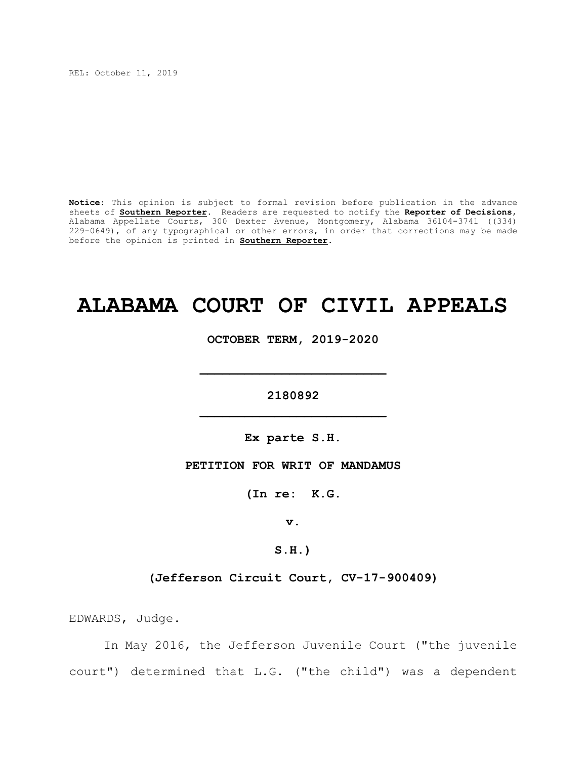REL: October 11, 2019

**Notice**: This opinion is subject to formal revision before publication in the advance sheets of **Southern Reporter**. Readers are requested to notify the **Reporter of Decisions**, Alabama Appellate Courts, 300 Dexter Avenue, Montgomery, Alabama 36104-3741 ((334) 229-0649), of any typographical or other errors, in order that corrections may be made before the opinion is printed in **Southern Reporter**.

# **ALABAMA COURT OF CIVIL APPEALS**

**OCTOBER TERM, 2019-2020**

**\_\_\_\_\_\_\_\_\_\_\_\_\_\_\_\_\_\_\_\_\_\_\_\_\_**

**2180892 \_\_\_\_\_\_\_\_\_\_\_\_\_\_\_\_\_\_\_\_\_\_\_\_\_**

**Ex parte S.H.**

**PETITION FOR WRIT OF MANDAMUS**

**(In re: K.G.**

**v.**

**S.H.)**

**(Jefferson Circuit Court, CV-17-900409)**

EDWARDS, Judge.

In May 2016, the Jefferson Juvenile Court ("the juvenile court") determined that L.G. ("the child") was a dependent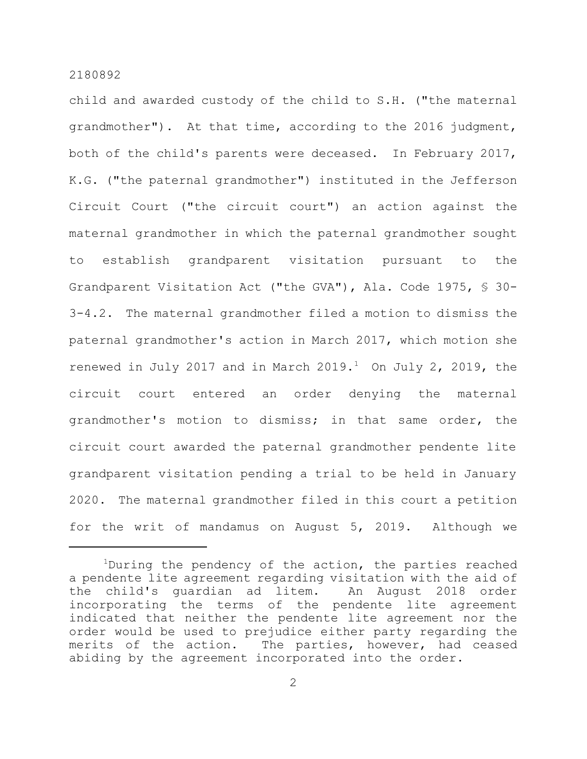child and awarded custody of the child to S.H. ("the maternal grandmother"). At that time, according to the 2016 judgment, both of the child's parents were deceased. In February 2017, K.G. ("the paternal grandmother") instituted in the Jefferson Circuit Court ("the circuit court") an action against the maternal grandmother in which the paternal grandmother sought to establish grandparent visitation pursuant to the Grandparent Visitation Act ("the GVA"), Ala. Code 1975, § 30- 3-4.2. The maternal grandmother filed a motion to dismiss the paternal grandmother's action in March 2017, which motion she renewed in July 2017 and in March 2019. $<sup>1</sup>$  On July 2, 2019, the</sup> circuit court entered an order denying the maternal grandmother's motion to dismiss; in that same order, the circuit court awarded the paternal grandmother pendente lite grandparent visitation pending a trial to be held in January 2020. The maternal grandmother filed in this court a petition for the writ of mandamus on August 5, 2019. Although we

<sup>&</sup>lt;sup>1</sup>During the pendency of the action, the parties reached a pendente lite agreement regarding visitation with the aid of the child's guardian ad litem. An August 2018 order incorporating the terms of the pendente lite agreement indicated that neither the pendente lite agreement nor the order would be used to prejudice either party regarding the merits of the action. The parties, however, had ceased abiding by the agreement incorporated into the order.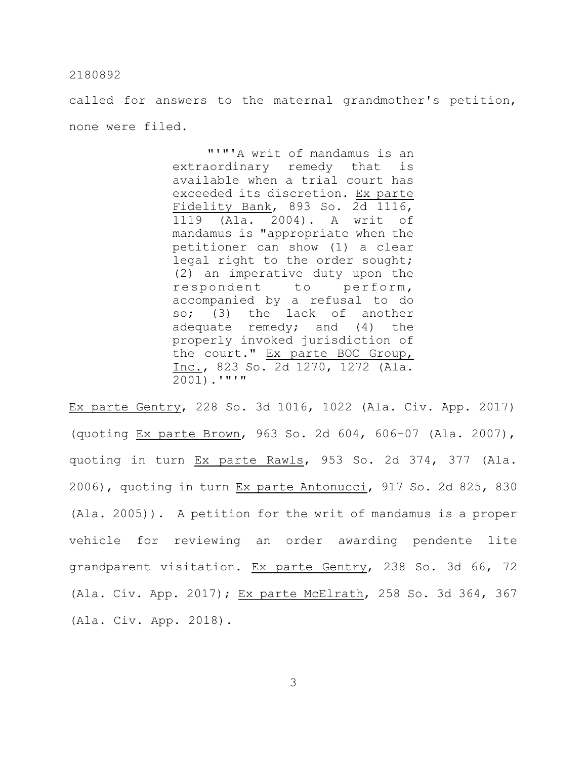called for answers to the maternal grandmother's petition, none were filed.

> "'"'A writ of mandamus is an extraordinary remedy that is available when a trial court has exceeded its discretion. Ex parte Fidelity Bank, 893 So. 2d 1116, 1119 (Ala. 2004). A writ of mandamus is "appropriate when the petitioner can show (1) a clear legal right to the order sought; (2) an imperative duty upon the respondent to perform, accompanied by a refusal to do so; (3) the lack of another adequate remedy; and (4) the properly invoked jurisdiction of the court." Ex parte BOC Group, Inc., 823 So. 2d 1270, 1272 (Ala.  $\overline{2001}$ ).'"'"

Ex parte Gentry, 228 So. 3d 1016, 1022 (Ala. Civ. App. 2017) (quoting Ex parte Brown, 963 So. 2d 604, 606–07 (Ala. 2007), quoting in turn Ex parte Rawls, 953 So. 2d 374, 377 (Ala. 2006), quoting in turn Ex parte Antonucci, 917 So. 2d 825, 830 (Ala. 2005)). A petition for the writ of mandamus is a proper vehicle for reviewing an order awarding pendente lite grandparent visitation. Ex parte Gentry, 238 So. 3d 66, 72 (Ala. Civ. App. 2017); Ex parte McElrath, 258 So. 3d 364, 367 (Ala. Civ. App. 2018).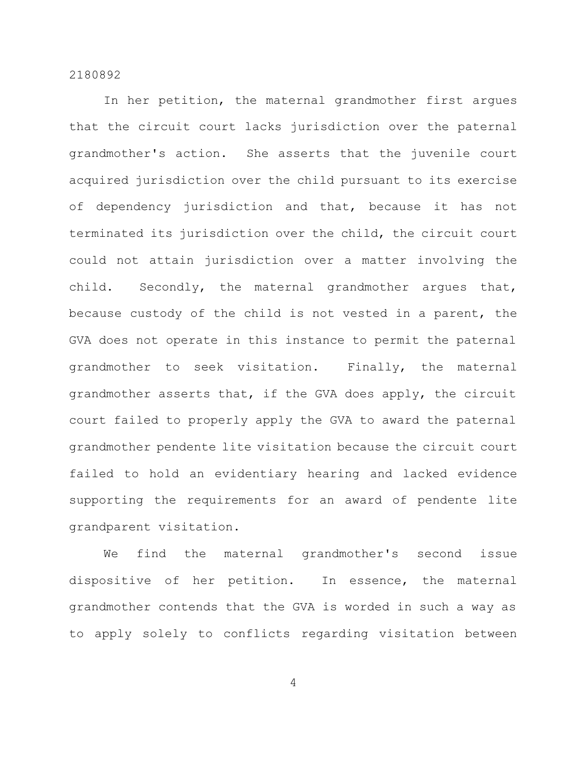In her petition, the maternal grandmother first argues that the circuit court lacks jurisdiction over the paternal grandmother's action. She asserts that the juvenile court acquired jurisdiction over the child pursuant to its exercise of dependency jurisdiction and that, because it has not terminated its jurisdiction over the child, the circuit court could not attain jurisdiction over a matter involving the child. Secondly, the maternal grandmother argues that, because custody of the child is not vested in a parent, the GVA does not operate in this instance to permit the paternal grandmother to seek visitation. Finally, the maternal grandmother asserts that, if the GVA does apply, the circuit court failed to properly apply the GVA to award the paternal grandmother pendente lite visitation because the circuit court failed to hold an evidentiary hearing and lacked evidence supporting the requirements for an award of pendente lite grandparent visitation.

We find the maternal grandmother's second issue dispositive of her petition. In essence, the maternal grandmother contends that the GVA is worded in such a way as to apply solely to conflicts regarding visitation between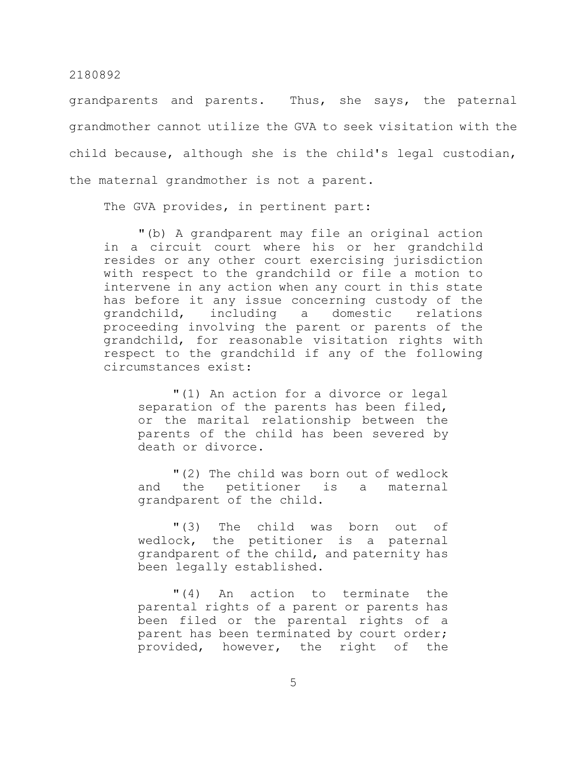grandparents and parents. Thus, she says, the paternal grandmother cannot utilize the GVA to seek visitation with the child because, although she is the child's legal custodian, the maternal grandmother is not a parent.

The GVA provides, in pertinent part:

"(b) A grandparent may file an original action in a circuit court where his or her grandchild resides or any other court exercising jurisdiction with respect to the grandchild or file a motion to intervene in any action when any court in this state has before it any issue concerning custody of the grandchild, including a domestic relations proceeding involving the parent or parents of the grandchild, for reasonable visitation rights with respect to the grandchild if any of the following circumstances exist:

"(1) An action for a divorce or legal separation of the parents has been filed, or the marital relationship between the parents of the child has been severed by death or divorce.

"(2) The child was born out of wedlock and the petitioner is a maternal grandparent of the child.

"(3) The child was born out of wedlock, the petitioner is a paternal grandparent of the child, and paternity has been legally established.

"(4) An action to terminate the parental rights of a parent or parents has been filed or the parental rights of a parent has been terminated by court order; provided, however, the right of the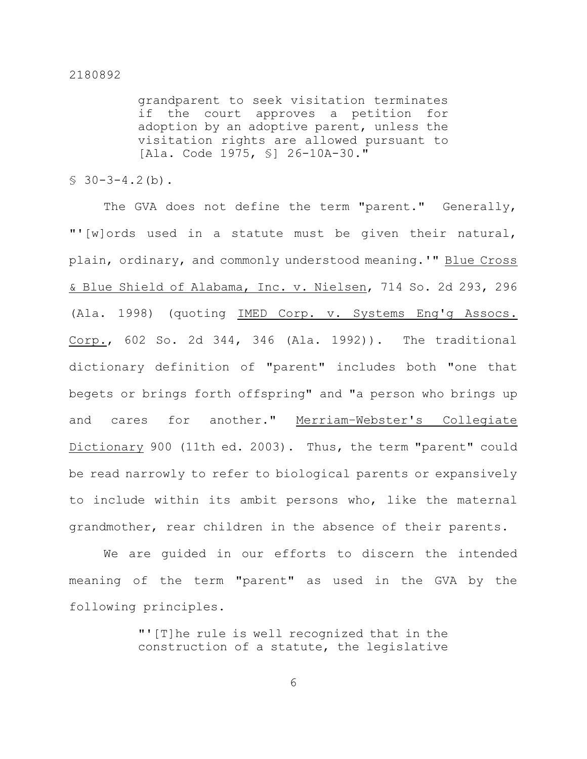grandparent to seek visitation terminates if the court approves a petition for adoption by an adoptive parent, unless the visitation rights are allowed pursuant to [Ala. Code 1975, §] 26-10A-30."

 $$30-3-4.2(b).$ 

The GVA does not define the term "parent." Generally, "'[w]ords used in a statute must be given their natural, plain, ordinary, and commonly understood meaning.'" Blue Cross & Blue Shield of Alabama, Inc. v. Nielsen, 714 So. 2d 293, 296 (Ala. 1998) (quoting IMED Corp. v. Systems Eng'g Assocs. Corp., 602 So. 2d 344, 346 (Ala. 1992)). The traditional dictionary definition of "parent" includes both "one that begets or brings forth offspring" and "a person who brings up and cares for another." Merriam–Webster's Collegiate Dictionary 900 (11th ed. 2003). Thus, the term "parent" could be read narrowly to refer to biological parents or expansively to include within its ambit persons who, like the maternal grandmother, rear children in the absence of their parents.

We are guided in our efforts to discern the intended meaning of the term "parent" as used in the GVA by the following principles.

> "'[T]he rule is well recognized that in the construction of a statute, the legislative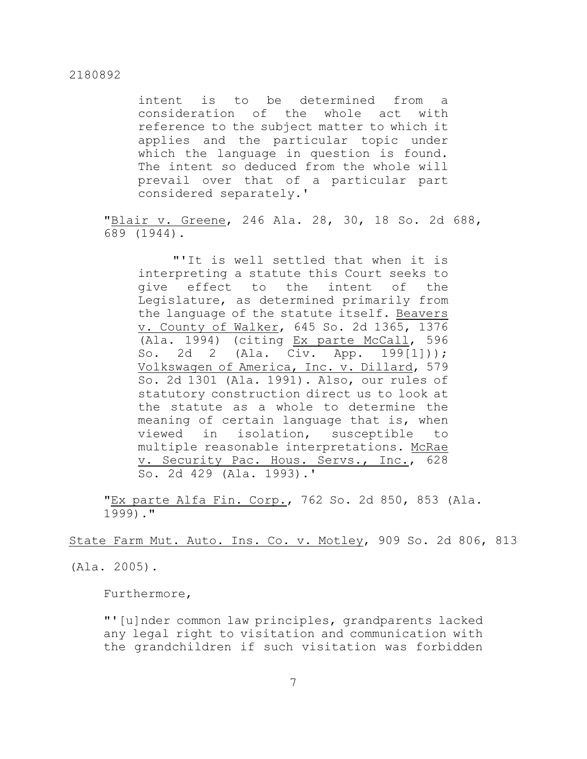intent is to be determined from a consideration of the whole act with reference to the subject matter to which it applies and the particular topic under which the language in question is found. The intent so deduced from the whole will prevail over that of a particular part considered separately.'

"Blair v. Greene, 246 Ala. 28, 30, 18 So. 2d 688, 689 (1944).

"'It is well settled that when it is interpreting a statute this Court seeks to give effect to the intent of the Legislature, as determined primarily from the language of the statute itself. Beavers v. County of Walker, 645 So. 2d 1365, 1376 (Ala. 1994) (citing Ex parte McCall, 596 So. 2d 2 (Ala. Civ. App. 199[1])); Volkswagen of America, Inc. v. Dillard, 579 So. 2d 1301 (Ala. 1991). Also, our rules of statutory construction direct us to look at the statute as a whole to determine the meaning of certain language that is, when viewed in isolation, susceptible to multiple reasonable interpretations. McRae v. Security Pac. Hous. Servs., Inc., 628 So. 2d 429 (Ala. 1993).'

"Ex parte Alfa Fin. Corp., 762 So. 2d 850, 853 (Ala. 1999)."

State Farm Mut. Auto. Ins. Co. v. Motley, 909 So. 2d 806, 813

(Ala. 2005).

Furthermore,

"'[u]nder common law principles, grandparents lacked any legal right to visitation and communication with the grandchildren if such visitation was forbidden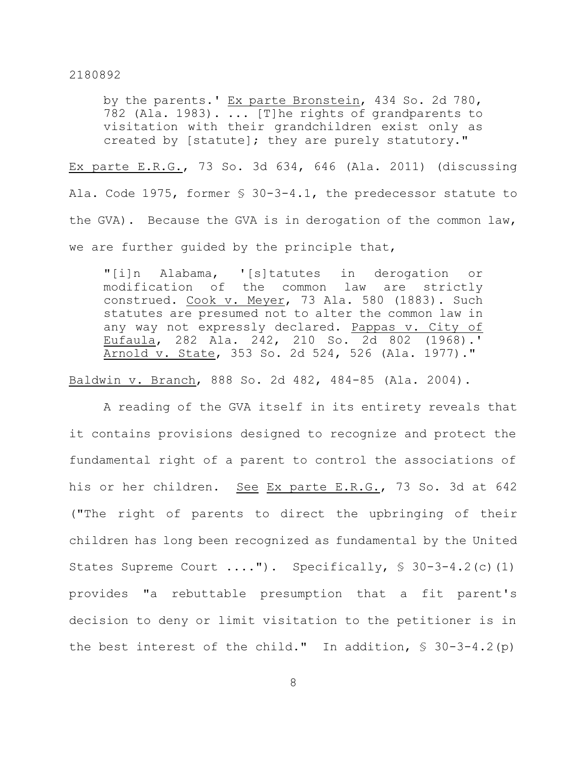by the parents.' Ex parte Bronstein, 434 So. 2d 780, 782 (Ala. 1983). ... [T]he rights of grandparents to visitation with their grandchildren exist only as created by [statute]; they are purely statutory."

Ex parte E.R.G., 73 So. 3d 634, 646 (Ala. 2011) (discussing Ala. Code 1975, former § 30-3-4.1, the predecessor statute to the GVA). Because the GVA is in derogation of the common law, we are further guided by the principle that,

"[i]n Alabama, '[s]tatutes in derogation or modification of the common law are strictly construed. Cook v. Meyer, 73 Ala. 580 (1883). Such statutes are presumed not to alter the common law in any way not expressly declared. Pappas v. City of Eufaula, 282 Ala. 242, 210 So. 2d 802 (1968).' Arnold v. State, 353 So. 2d 524, 526 (Ala. 1977)."

Baldwin v. Branch, 888 So. 2d 482, 484-85 (Ala. 2004).

A reading of the GVA itself in its entirety reveals that it contains provisions designed to recognize and protect the fundamental right of a parent to control the associations of his or her children. See Ex parte E.R.G., 73 So. 3d at 642 ("The right of parents to direct the upbringing of their children has long been recognized as fundamental by the United States Supreme Court ...."). Specifically, § 30-3-4.2(c)(1) provides "a rebuttable presumption that a fit parent's decision to deny or limit visitation to the petitioner is in the best interest of the child." In addition,  $\S$  30-3-4.2(p)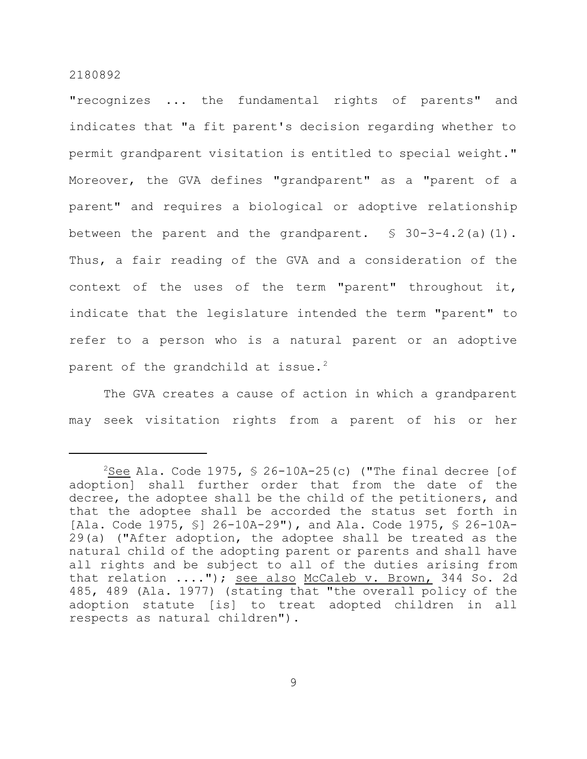"recognizes ... the fundamental rights of parents" and indicates that "a fit parent's decision regarding whether to permit grandparent visitation is entitled to special weight." Moreover, the GVA defines "grandparent" as a "parent of a parent" and requires a biological or adoptive relationship between the parent and the grandparent.  $$ 30-3-4.2(a)(1)$ . Thus, a fair reading of the GVA and a consideration of the context of the uses of the term "parent" throughout it, indicate that the legislature intended the term "parent" to refer to a person who is a natural parent or an adoptive parent of the grandchild at issue.<sup>2</sup>

The GVA creates a cause of action in which a grandparent may seek visitation rights from a parent of his or her

<sup>&</sup>lt;sup>2</sup>See Ala. Code 1975,  $\frac{1}{2}$  26-10A-25(c) ("The final decree [of adoption] shall further order that from the date of the decree, the adoptee shall be the child of the petitioners, and that the adoptee shall be accorded the status set forth in [Ala. Code 1975, §] 26-10A-29"), and Ala. Code 1975, § 26-10A-29(a) ("After adoption, the adoptee shall be treated as the natural child of the adopting parent or parents and shall have all rights and be subject to all of the duties arising from that relation ...."); see also McCaleb v. Brown, 344 So. 2d 485, 489 (Ala. 1977) (stating that "the overall policy of the adoption statute [is] to treat adopted children in all respects as natural children").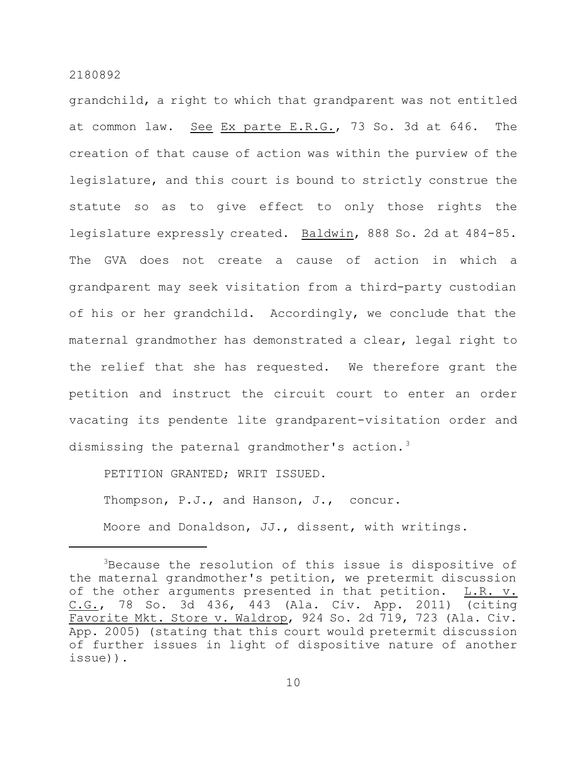grandchild, a right to which that grandparent was not entitled at common law. See Ex parte E.R.G., 73 So. 3d at 646. The creation of that cause of action was within the purview of the legislature, and this court is bound to strictly construe the statute so as to give effect to only those rights the legislature expressly created. Baldwin, 888 So. 2d at 484-85. The GVA does not create a cause of action in which a grandparent may seek visitation from a third-party custodian of his or her grandchild. Accordingly, we conclude that the maternal grandmother has demonstrated a clear, legal right to the relief that she has requested. We therefore grant the petition and instruct the circuit court to enter an order vacating its pendente lite grandparent-visitation order and dismissing the paternal grandmother's action.<sup>3</sup>

PETITION GRANTED; WRIT ISSUED.

Thompson, P.J., and Hanson, J., concur.

Moore and Donaldson, JJ., dissent, with writings.

<sup>3</sup>Because the resolution of this issue is dispositive of the maternal grandmother's petition, we pretermit discussion of the other arguments presented in that petition. L.R. v. C.G., 78 So. 3d 436, 443 (Ala. Civ. App. 2011) (citing Favorite Mkt. Store v. Waldrop, 924 So. 2d 719, 723 (Ala. Civ. App. 2005) (stating that this court would pretermit discussion of further issues in light of dispositive nature of another issue)).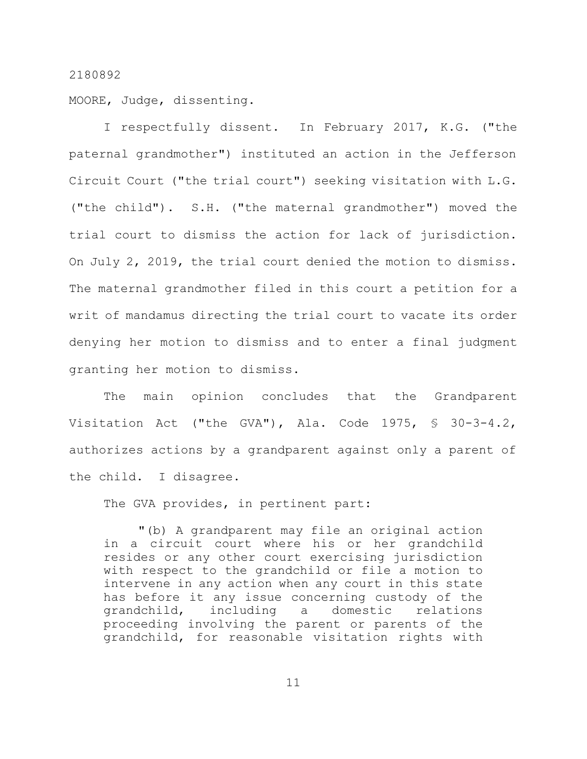MOORE, Judge, dissenting.

I respectfully dissent. In February 2017, K.G. ("the paternal grandmother") instituted an action in the Jefferson Circuit Court ("the trial court") seeking visitation with L.G. ("the child"). S.H. ("the maternal grandmother") moved the trial court to dismiss the action for lack of jurisdiction. On July 2, 2019, the trial court denied the motion to dismiss. The maternal grandmother filed in this court a petition for a writ of mandamus directing the trial court to vacate its order denying her motion to dismiss and to enter a final judgment granting her motion to dismiss.

The main opinion concludes that the Grandparent Visitation Act ("the GVA"), Ala. Code 1975, § 30-3-4.2, authorizes actions by a grandparent against only a parent of the child. I disagree.

The GVA provides, in pertinent part:

"(b) A grandparent may file an original action in a circuit court where his or her grandchild resides or any other court exercising jurisdiction with respect to the grandchild or file a motion to intervene in any action when any court in this state has before it any issue concerning custody of the grandchild, including a domestic relations proceeding involving the parent or parents of the grandchild, for reasonable visitation rights with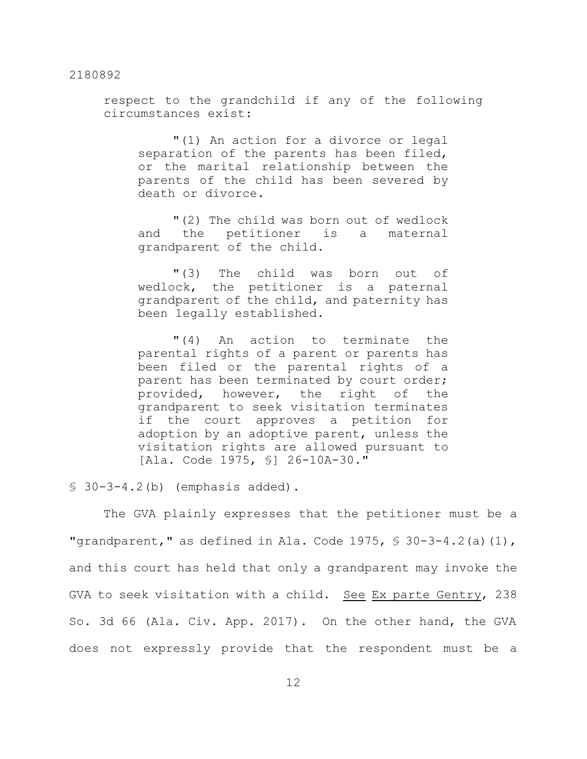respect to the grandchild if any of the following circumstances exist:

"(1) An action for a divorce or legal separation of the parents has been filed, or the marital relationship between the parents of the child has been severed by death or divorce.

"(2) The child was born out of wedlock and the petitioner is a maternal grandparent of the child.

"(3) The child was born out of wedlock, the petitioner is a paternal grandparent of the child, and paternity has been legally established.

"(4) An action to terminate the parental rights of a parent or parents has been filed or the parental rights of a parent has been terminated by court order; provided, however, the right of the grandparent to seek visitation terminates if the court approves a petition for adoption by an adoptive parent, unless the visitation rights are allowed pursuant to [Ala. Code 1975, §] 26-10A-30."

 $$30-3-4.2(b)$  (emphasis added).

The GVA plainly expresses that the petitioner must be a "grandparent," as defined in Ala. Code 1975,  $\frac{1}{5}$  30-3-4.2(a)(1), and this court has held that only a grandparent may invoke the GVA to seek visitation with a child. See Ex parte Gentry, 238 So. 3d 66 (Ala. Civ. App. 2017). On the other hand, the GVA does not expressly provide that the respondent must be a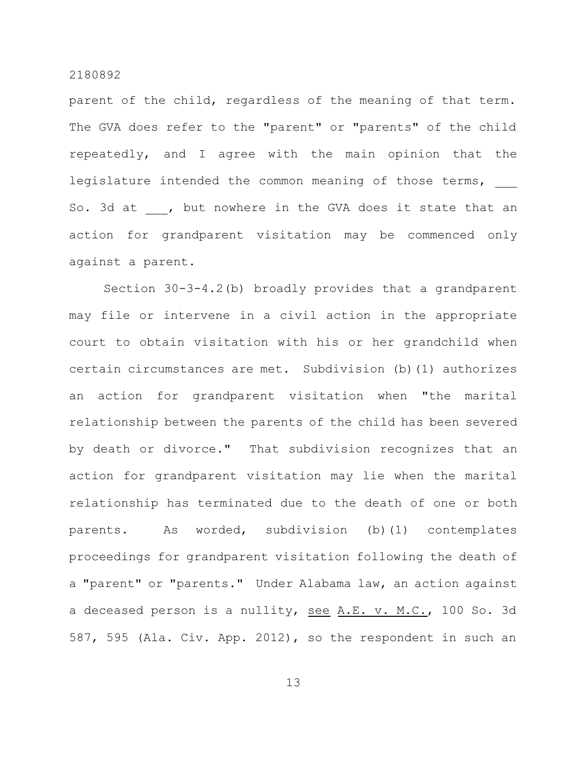parent of the child, regardless of the meaning of that term. The GVA does refer to the "parent" or "parents" of the child repeatedly, and I agree with the main opinion that the legislature intended the common meaning of those terms, So. 3d at , but nowhere in the GVA does it state that an action for grandparent visitation may be commenced only against a parent.

Section 30-3-4.2(b) broadly provides that a grandparent may file or intervene in a civil action in the appropriate court to obtain visitation with his or her grandchild when certain circumstances are met. Subdivision (b)(1) authorizes an action for grandparent visitation when "the marital relationship between the parents of the child has been severed by death or divorce." That subdivision recognizes that an action for grandparent visitation may lie when the marital relationship has terminated due to the death of one or both parents. As worded, subdivision (b)(1) contemplates proceedings for grandparent visitation following the death of a "parent" or "parents." Under Alabama law, an action against a deceased person is a nullity, see A.E. v. M.C., 100 So. 3d 587, 595 (Ala. Civ. App. 2012), so the respondent in such an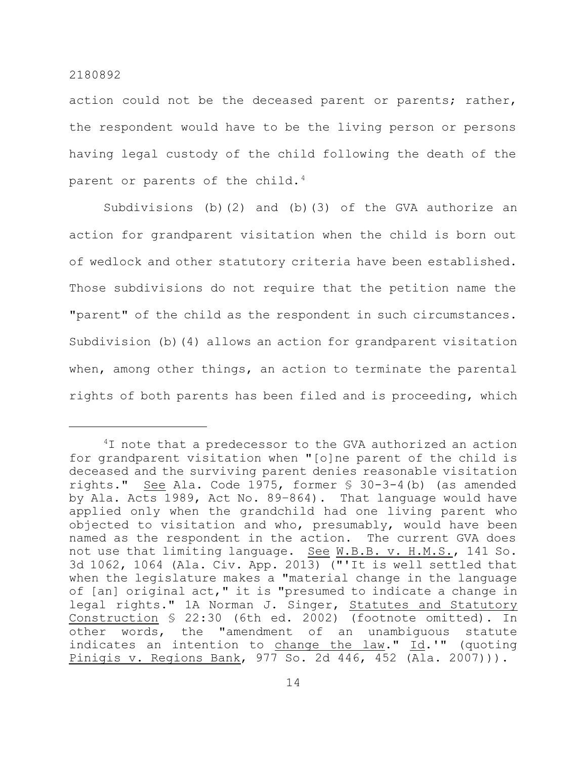action could not be the deceased parent or parents; rather, the respondent would have to be the living person or persons having legal custody of the child following the death of the parent or parents of the child.<sup>4</sup>

Subdivisions (b)(2) and (b)(3) of the GVA authorize an action for grandparent visitation when the child is born out of wedlock and other statutory criteria have been established. Those subdivisions do not require that the petition name the "parent" of the child as the respondent in such circumstances. Subdivision (b)(4) allows an action for grandparent visitation when, among other things, an action to terminate the parental rights of both parents has been filed and is proceeding, which

 $4I$  note that a predecessor to the GVA authorized an action for grandparent visitation when "[o]ne parent of the child is deceased and the surviving parent denies reasonable visitation rights." See Ala. Code 1975, former § 30-3-4(b) (as amended by Ala. Acts 1989, Act No. 89–864). That language would have applied only when the grandchild had one living parent who objected to visitation and who, presumably, would have been named as the respondent in the action. The current GVA does not use that limiting language. See W.B.B. v. H.M.S., 141 So. 3d 1062, 1064 (Ala. Civ. App. 2013) ("'It is well settled that when the legislature makes a "material change in the language of [an] original act," it is "presumed to indicate a change in legal rights." 1A Norman J. Singer, Statutes and Statutory Construction § 22:30 (6th ed. 2002) (footnote omitted). In other words, the "amendment of an unambiguous statute indicates an intention to change the law." Id.'" (quoting Pinigis v. Regions Bank, 977 So. 2d 446, 452 (Ala. 2007))).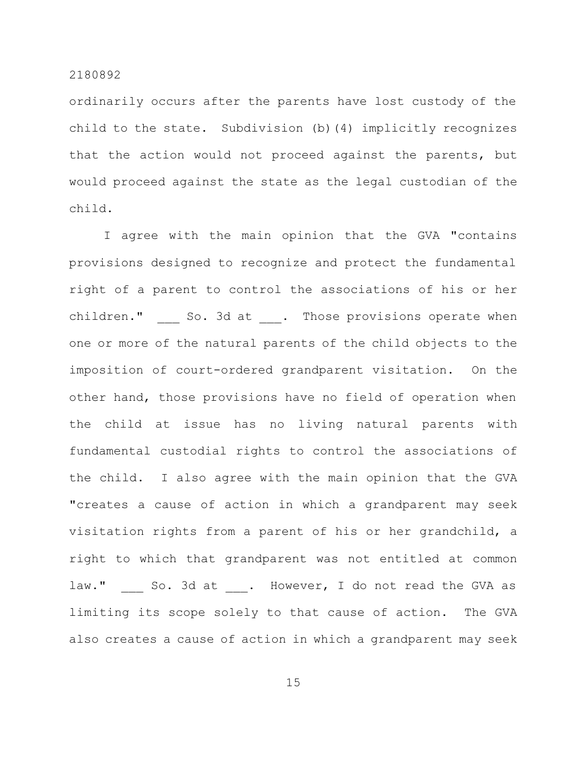ordinarily occurs after the parents have lost custody of the child to the state. Subdivision (b)(4) implicitly recognizes that the action would not proceed against the parents, but would proceed against the state as the legal custodian of the child.

I agree with the main opinion that the GVA "contains provisions designed to recognize and protect the fundamental right of a parent to control the associations of his or her children." So. 3d at . Those provisions operate when one or more of the natural parents of the child objects to the imposition of court-ordered grandparent visitation. On the other hand, those provisions have no field of operation when the child at issue has no living natural parents with fundamental custodial rights to control the associations of the child. I also agree with the main opinion that the GVA "creates a cause of action in which a grandparent may seek visitation rights from a parent of his or her grandchild, a right to which that grandparent was not entitled at common law." So. 3d at . However, I do not read the GVA as limiting its scope solely to that cause of action. The GVA also creates a cause of action in which a grandparent may seek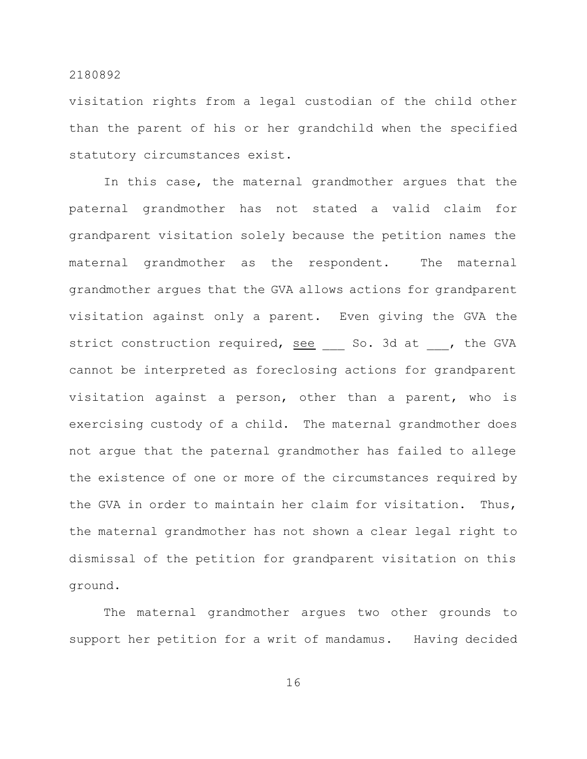visitation rights from a legal custodian of the child other than the parent of his or her grandchild when the specified statutory circumstances exist.

In this case, the maternal grandmother argues that the paternal grandmother has not stated a valid claim for grandparent visitation solely because the petition names the maternal grandmother as the respondent. The maternal grandmother argues that the GVA allows actions for grandparent visitation against only a parent. Even giving the GVA the strict construction required, see 50. 3d at , the GVA cannot be interpreted as foreclosing actions for grandparent visitation against a person, other than a parent, who is exercising custody of a child. The maternal grandmother does not argue that the paternal grandmother has failed to allege the existence of one or more of the circumstances required by the GVA in order to maintain her claim for visitation. Thus, the maternal grandmother has not shown a clear legal right to dismissal of the petition for grandparent visitation on this ground.

The maternal grandmother argues two other grounds to support her petition for a writ of mandamus. Having decided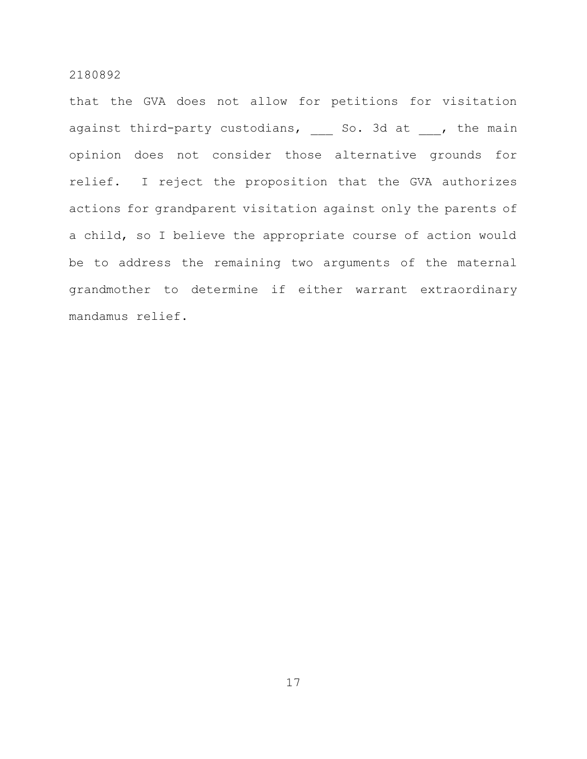that the GVA does not allow for petitions for visitation against third-party custodians, and so. 3d at  $\qquad$ , the main opinion does not consider those alternative grounds for relief. I reject the proposition that the GVA authorizes actions for grandparent visitation against only the parents of a child, so I believe the appropriate course of action would be to address the remaining two arguments of the maternal grandmother to determine if either warrant extraordinary mandamus relief.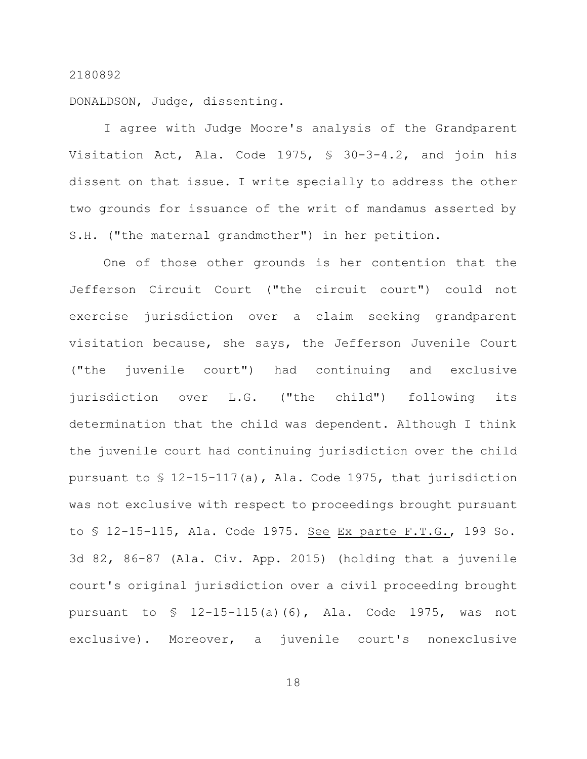DONALDSON, Judge, dissenting.

I agree with Judge Moore's analysis of the Grandparent Visitation Act, Ala. Code 1975, § 30-3-4.2, and join his dissent on that issue. I write specially to address the other two grounds for issuance of the writ of mandamus asserted by S.H. ("the maternal grandmother") in her petition.

One of those other grounds is her contention that the Jefferson Circuit Court ("the circuit court") could not exercise jurisdiction over a claim seeking grandparent visitation because, she says, the Jefferson Juvenile Court ("the juvenile court") had continuing and exclusive jurisdiction over L.G. ("the child") following its determination that the child was dependent. Although I think the juvenile court had continuing jurisdiction over the child pursuant to § 12-15-117(a), Ala. Code 1975, that jurisdiction was not exclusive with respect to proceedings brought pursuant to § 12-15-115, Ala. Code 1975. See Ex parte F.T.G., 199 So. 3d 82, 86-87 (Ala. Civ. App. 2015) (holding that a juvenile court's original jurisdiction over a civil proceeding brought pursuant to § 12-15-115(a)(6), Ala. Code 1975, was not exclusive). Moreover, a juvenile court's nonexclusive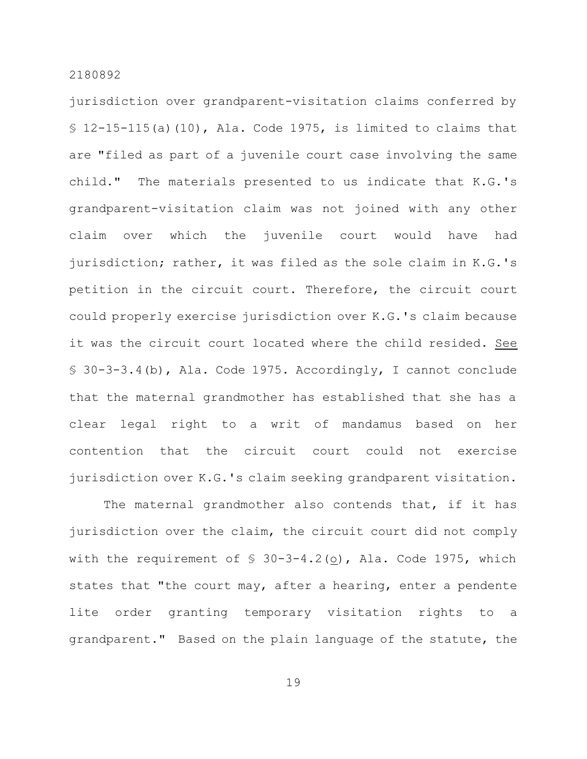jurisdiction over grandparent-visitation claims conferred by  $$12-15-115(a)(10)$ , Ala. Code 1975, is limited to claims that are "filed as part of a juvenile court case involving the same child." The materials presented to us indicate that K.G.'s grandparent-visitation claim was not joined with any other claim over which the juvenile court would have had jurisdiction; rather, it was filed as the sole claim in K.G.'s petition in the circuit court. Therefore, the circuit court could properly exercise jurisdiction over K.G.'s claim because it was the circuit court located where the child resided. See § 30-3-3.4(b), Ala. Code 1975. Accordingly, I cannot conclude that the maternal grandmother has established that she has a clear legal right to a writ of mandamus based on her contention that the circuit court could not exercise jurisdiction over K.G.'s claim seeking grandparent visitation.

The maternal grandmother also contends that, if it has jurisdiction over the claim, the circuit court did not comply with the requirement of  $\S$  30-3-4.2( $\Omega$ ), Ala. Code 1975, which states that "the court may, after a hearing, enter a pendente lite order granting temporary visitation rights to a grandparent." Based on the plain language of the statute, the